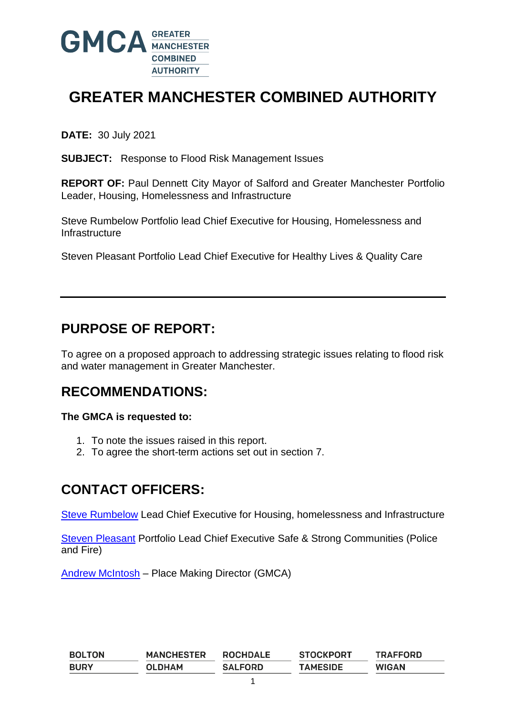

# **GREATER MANCHESTER COMBINED AUTHORITY**

**DATE:** 30 July 2021

**SUBJECT:** Response to Flood Risk Management Issues

**REPORT OF:** Paul Dennett City Mayor of Salford and Greater Manchester Portfolio Leader, Housing, Homelessness and Infrastructure

Steve Rumbelow Portfolio lead Chief Executive for Housing, Homelessness and **Infrastructure** 

Steven Pleasant Portfolio Lead Chief Executive for Healthy Lives & Quality Care

### **PURPOSE OF REPORT:**

To agree on a proposed approach to addressing strategic issues relating to flood risk and water management in Greater Manchester.

### **RECOMMENDATIONS:**

**The GMCA is requested to:**

- 1. To note the issues raised in this report.
- 2. To agree the short-term actions set out in section 7.

## **CONTACT OFFICERS:**

[Steve Rumbelow](mailto:steve.rumbelow@rochdale.gov.uk) Lead Chief Executive for Housing, homelessness and Infrastructure

[Steven Pleasant](mailto:steven.pleasant@tameside.gov.uk) Portfolio Lead Chief Executive Safe & Strong Communities (Police and Fire)

[Andrew McIntosh](mailto:andrew.mcintosh@greatermanchester-ca.gov.uk) – Place Making Director (GMCA)

| <b>BOLTON</b> | <b>MANCHESTER</b> | <b>ROCHDALE</b> | <b>STOCKPORT</b> | <b>TRAFFORD</b> |
|---------------|-------------------|-----------------|------------------|-----------------|
| <b>BURY</b>   | <b>OLDHAM</b>     | <b>SALFORD</b>  | <b>TAMESIDE</b>  | <b>WIGAN</b>    |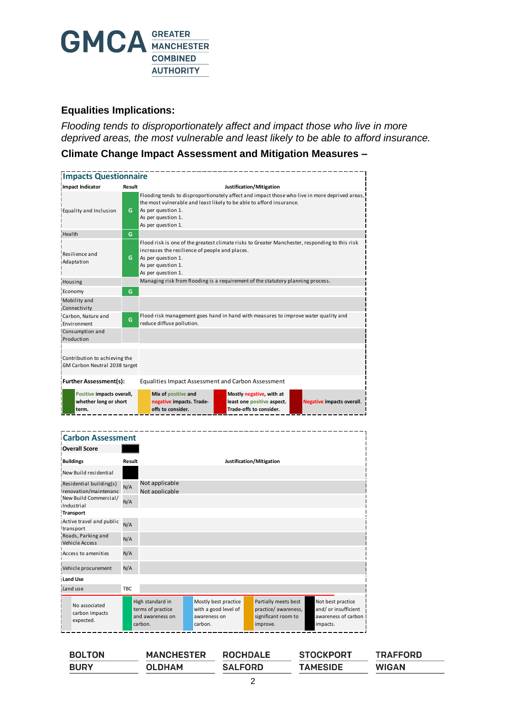

#### **Equalities Implications:**

**BOLTON** 

**BURY** 

*Flooding tends to disproportionately affect and impact those who live in more deprived areas, the most vulnerable and least likely to be able to afford insurance.*

**Climate Change Impact Assessment and Mitigation Measures –**

| <b>Impacts Questionnaire</b>                                   |        |                                                                                                                                                                                                                                         |  |  |  |  |  |
|----------------------------------------------------------------|--------|-----------------------------------------------------------------------------------------------------------------------------------------------------------------------------------------------------------------------------------------|--|--|--|--|--|
| <b>Impact Indicator</b>                                        | Result | Justification/Mitigation                                                                                                                                                                                                                |  |  |  |  |  |
| Equality and Inclusion                                         | G.     | Flooding tends to disproportionately affect and impact those who live in more deprived areas,<br>the most vulnerable and least likely to be able to afford insurance.<br>As per question 1.<br>As per question 1.<br>As per question 1. |  |  |  |  |  |
| Health                                                         | G      |                                                                                                                                                                                                                                         |  |  |  |  |  |
| Resilience and<br>Adaptation                                   | G      | Flood risk is one of the greatest climate risks to Greater Manchester, responding to this risk<br>increases the resilience of people and places.<br>As per question 1.<br>As per question 1.<br>As per question 1.                      |  |  |  |  |  |
| Housing                                                        |        | Managing risk from flooding is a requirement of the statutory planning process.                                                                                                                                                         |  |  |  |  |  |
| Economy                                                        | G      |                                                                                                                                                                                                                                         |  |  |  |  |  |
| Mobility and<br>Connectivity                                   |        |                                                                                                                                                                                                                                         |  |  |  |  |  |
| Carbon, Nature and<br>Environment                              | G      | Flood risk management goes hand in hand with measures to improve water quality and<br>reduce diffuse pollution.                                                                                                                         |  |  |  |  |  |
| Consumption and<br>Production                                  |        |                                                                                                                                                                                                                                         |  |  |  |  |  |
| Contribution to achieving the<br>GM Carbon Neutral 2038 target |        |                                                                                                                                                                                                                                         |  |  |  |  |  |
| <b>Further Assessment(s):</b>                                  |        | <b>Equalities Impact Assessment and Carbon Assessment</b>                                                                                                                                                                               |  |  |  |  |  |
| Positive impacts overall,<br>whether long or short<br>term.    |        | Mix of positive and<br>Mostly negative, with at<br>negative impacts. Trade-<br>least one positive aspect.<br><b>Negative impacts overall.</b><br>Trade-offs to consider.<br>offs to consider.                                           |  |  |  |  |  |

| <b>Carbon Assessment</b>                         |            |                                                                      |                                                                         |                                                                                 |                                                                              |
|--------------------------------------------------|------------|----------------------------------------------------------------------|-------------------------------------------------------------------------|---------------------------------------------------------------------------------|------------------------------------------------------------------------------|
| <b>Overall Score</b>                             |            |                                                                      |                                                                         |                                                                                 |                                                                              |
| <b>Buildings</b>                                 | Result     |                                                                      |                                                                         | Justification/Mitigation                                                        |                                                                              |
| New Build residential                            |            |                                                                      |                                                                         |                                                                                 |                                                                              |
| Residential building(s)<br>renovation/maintenanc | N/A        | Not applicable<br>Not annlicable                                     |                                                                         |                                                                                 |                                                                              |
| New Build Commercial/<br>Industrial              | N/A        |                                                                      |                                                                         |                                                                                 |                                                                              |
| <b>Transport</b>                                 |            |                                                                      |                                                                         |                                                                                 |                                                                              |
| Active travel and public<br>transport            | N/A        |                                                                      |                                                                         |                                                                                 |                                                                              |
| Roads, Parking and<br>Vehicle Access             | N/A        |                                                                      |                                                                         |                                                                                 |                                                                              |
| Access to amenities                              | N/A        |                                                                      |                                                                         |                                                                                 |                                                                              |
| Vehicle procurement                              | N/A        |                                                                      |                                                                         |                                                                                 |                                                                              |
| Land Use                                         |            |                                                                      |                                                                         |                                                                                 |                                                                              |
| Land use                                         | <b>TBC</b> |                                                                      |                                                                         |                                                                                 |                                                                              |
| No associated<br>carbon impacts<br>expected.     |            | High standard in<br>terms of practice<br>and awareness on<br>carbon. | Mostly best practice<br>with a good level of<br>awareness on<br>carbon. | Partially meets best<br>practice/ awareness,<br>significant room to<br>improve. | Not best practice<br>and/ or insufficient<br>awareness of carbon<br>impacts. |

**MANCHESTER** 

**OLDHAM** 

**TRAFFORD WIGAN** 

**STOCKPORT** 

**TAMESIDE** 

**ROCHDALE** 

**SALFORD**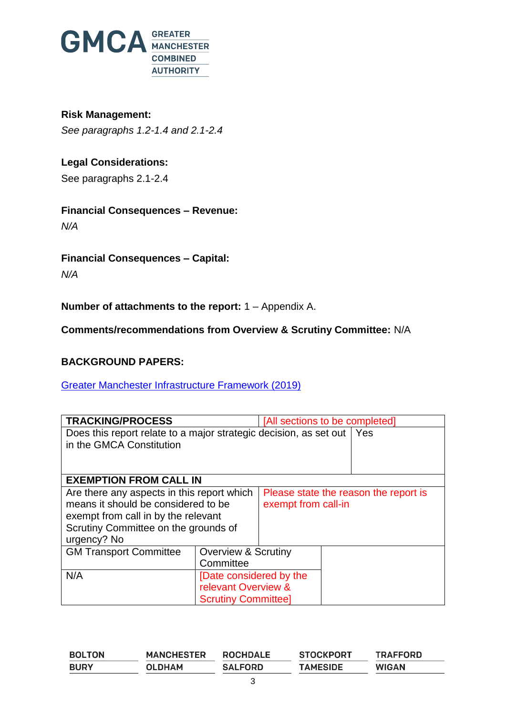

**Risk Management:** *See paragraphs 1.2-1.4 and 2.1-2.4* 

### **Legal Considerations:**

See paragraphs 2.1-2.4

**Financial Consequences – Revenue:**

*N/A*

**Financial Consequences – Capital:** *N/A*

**Number of attachments to the report:** 1 – Appendix A.

**Comments/recommendations from Overview & Scrutiny Committee:** N/A

#### **BACKGROUND PAPERS:**

[Greater Manchester Infrastructure Framework \(2019\)](https://www.greatermanchester-ca.gov.uk/media/1715/greater-manchester-infrastructure-framework-2040.pdf)

| <b>TRACKING/PROCESS</b>                                                                                                                                                         | [All sections to be completed]                                               |  |                                       |  |  |
|---------------------------------------------------------------------------------------------------------------------------------------------------------------------------------|------------------------------------------------------------------------------|--|---------------------------------------|--|--|
| Does this report relate to a major strategic decision, as set out<br>in the GMCA Constitution                                                                                   | Yes                                                                          |  |                                       |  |  |
| <b>EXEMPTION FROM CALL IN</b>                                                                                                                                                   |                                                                              |  |                                       |  |  |
| Are there any aspects in this report which<br>means it should be considered to be<br>exempt from call in by the relevant<br>Scrutiny Committee on the grounds of<br>urgency? No | exempt from call-in                                                          |  | Please state the reason the report is |  |  |
| <b>GM Transport Committee</b>                                                                                                                                                   | <b>Overview &amp; Scrutiny</b><br>Committee                                  |  |                                       |  |  |
| N/A                                                                                                                                                                             | [Date considered by the<br>relevant Overview &<br><b>Scrutiny Committee]</b> |  |                                       |  |  |

| <b>BOLTON</b> | <b>MANCHESTER</b> | <b>ROCHDALE</b> | <b>STOCKPORT</b> | <b>TRAFFORD</b> |
|---------------|-------------------|-----------------|------------------|-----------------|
| <b>BURY</b>   | <b>OLDHAM</b>     | <b>SALFORD</b>  | <b>TAMESIDE</b>  | <b>WIGAN</b>    |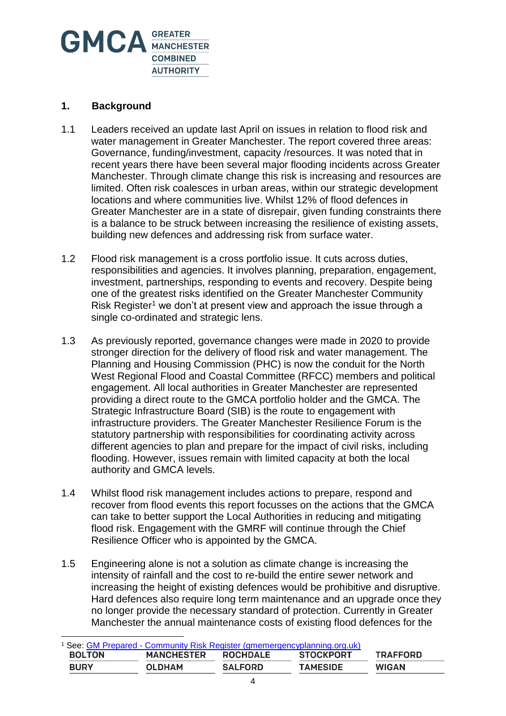

#### **1. Background**

- 1.1 Leaders received an update last April on issues in relation to flood risk and water management in Greater Manchester. The report covered three areas: Governance, funding/investment, capacity /resources. It was noted that in recent years there have been several major flooding incidents across Greater Manchester. Through climate change this risk is increasing and resources are limited. Often risk coalesces in urban areas, within our strategic development locations and where communities live. Whilst 12% of flood defences in Greater Manchester are in a state of disrepair, given funding constraints there is a balance to be struck between increasing the resilience of existing assets, building new defences and addressing risk from surface water.
- 1.2 Flood risk management is a cross portfolio issue. It cuts across duties, responsibilities and agencies. It involves planning, preparation, engagement, investment, partnerships, responding to events and recovery. Despite being one of the greatest risks identified on the Greater Manchester Community Risk Register<sup>1</sup> we don't at present view and approach the issue through a single co-ordinated and strategic lens.
- 1.3 As previously reported, governance changes were made in 2020 to provide stronger direction for the delivery of flood risk and water management. The Planning and Housing Commission (PHC) is now the conduit for the North West Regional Flood and Coastal Committee (RFCC) members and political engagement. All local authorities in Greater Manchester are represented providing a direct route to the GMCA portfolio holder and the GMCA. The Strategic Infrastructure Board (SIB) is the route to engagement with infrastructure providers. The Greater Manchester Resilience Forum is the statutory partnership with responsibilities for coordinating activity across different agencies to plan and prepare for the impact of civil risks, including flooding. However, issues remain with limited capacity at both the local authority and GMCA levels.
- 1.4 Whilst flood risk management includes actions to prepare, respond and recover from flood events this report focusses on the actions that the GMCA can take to better support the Local Authorities in reducing and mitigating flood risk. Engagement with the GMRF will continue through the Chief Resilience Officer who is appointed by the GMCA.
- 1.5 Engineering alone is not a solution as climate change is increasing the intensity of rainfall and the cost to re-build the entire sewer network and increasing the height of existing defences would be prohibitive and disruptive. Hard defences also require long term maintenance and an upgrade once they no longer provide the necessary standard of protection. Currently in Greater Manchester the annual maintenance costs of existing flood defences for the

| See: GM Prepared - Community Risk Register (gmemergencyplanning.org.uk) |                   |                 |                  |                 |
|-------------------------------------------------------------------------|-------------------|-----------------|------------------|-----------------|
| <b>BOLTON</b>                                                           | <b>MANCHESTER</b> | <b>ROCHDALE</b> | <b>STOCKPORT</b> | <b>TRAFFORD</b> |
| <b>BURY</b>                                                             | <b>OLDHAM</b>     | <b>SALFORD</b>  | <b>TAMESIDE</b>  | <b>WIGAN</b>    |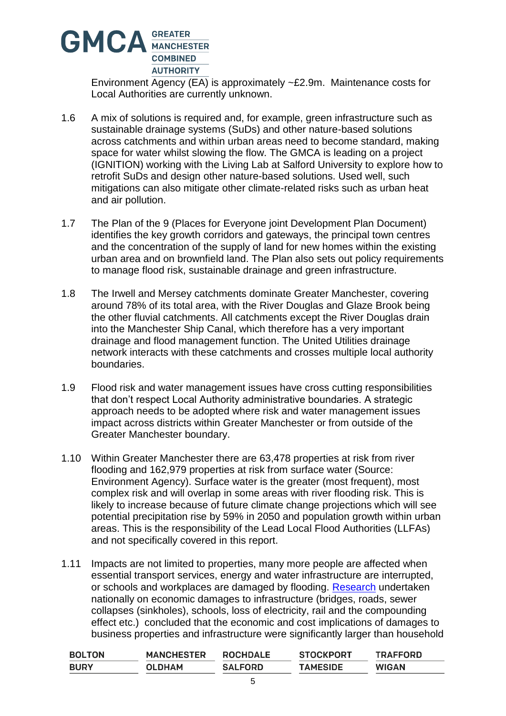

Environment Agency (EA) is approximately ~£2.9m. Maintenance costs for Local Authorities are currently unknown.

- 1.6 A mix of solutions is required and, for example, green infrastructure such as sustainable drainage systems (SuDs) and other nature-based solutions across catchments and within urban areas need to become standard, making space for water whilst slowing the flow. The GMCA is leading on a project (IGNITION) working with the Living Lab at Salford University to explore how to retrofit SuDs and design other nature-based solutions. Used well, such mitigations can also mitigate other climate-related risks such as urban heat and air pollution.
- 1.7 The Plan of the 9 (Places for Everyone joint Development Plan Document) identifies the key growth corridors and gateways, the principal town centres and the concentration of the supply of land for new homes within the existing urban area and on brownfield land. The Plan also sets out policy requirements to manage flood risk, sustainable drainage and green infrastructure.
- 1.8 The Irwell and Mersey catchments dominate Greater Manchester, covering around 78% of its total area, with the River Douglas and Glaze Brook being the other fluvial catchments. All catchments except the River Douglas drain into the Manchester Ship Canal, which therefore has a very important drainage and flood management function. The United Utilities drainage network interacts with these catchments and crosses multiple local authority boundaries.
- 1.9 Flood risk and water management issues have cross cutting responsibilities that don't respect Local Authority administrative boundaries. A strategic approach needs to be adopted where risk and water management issues impact across districts within Greater Manchester or from outside of the Greater Manchester boundary.
- 1.10 Within Greater Manchester there are 63,478 properties at risk from river flooding and 162,979 properties at risk from surface water (Source: Environment Agency). Surface water is the greater (most frequent), most complex risk and will overlap in some areas with river flooding risk. This is likely to increase because of future climate change projections which will see potential precipitation rise by 59% in 2050 and population growth within urban areas. This is the responsibility of the Lead Local Flood Authorities (LLFAs) and not specifically covered in this report.
- 1.11 Impacts are not limited to properties, many more people are affected when essential transport services, energy and water infrastructure are interrupted, or schools and workplaces are damaged by flooding. [Research](file://///hq-ict-10839b/gmca_data/AGMA/Planning%20and%20Housing%20team/Groups%20and%20Boards/Informal%20Leaders/July%202021/Estimating%20the%20economic%20costs%20of%20the%202015%20to%202016%20winter%20floods%20(publishing.service.gov.uk)) undertaken nationally on economic damages to infrastructure (bridges, roads, sewer collapses (sinkholes), schools, loss of electricity, rail and the compounding effect etc.) concluded that the economic and cost implications of damages to business properties and infrastructure were significantly larger than household

| <b>BOLTON</b> | <b>MANCHESTER</b> | <b>ROCHDALE</b> | <b>STOCKPORT</b> | <b>TRAFFORD</b> |
|---------------|-------------------|-----------------|------------------|-----------------|
| <b>BURY</b>   | <b>OLDHAM</b>     | <b>SALFORD</b>  | <b>TAMESIDE</b>  | <b>WIGAN</b>    |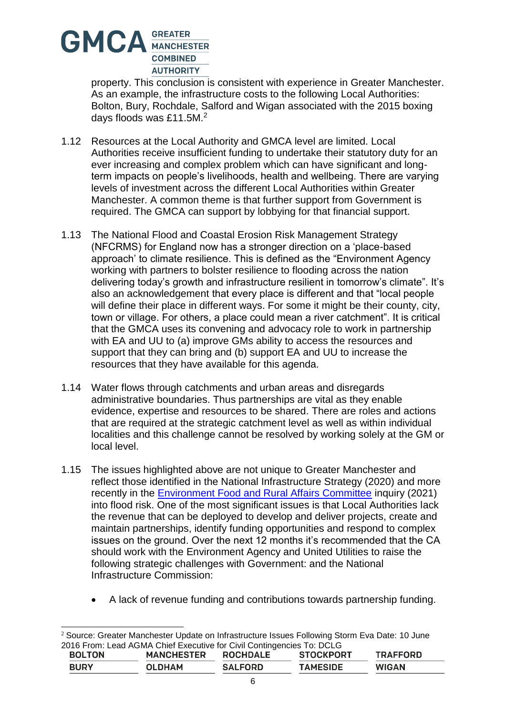

-

property. This conclusion is consistent with experience in Greater Manchester. As an example, the infrastructure costs to the following Local Authorities: Bolton, Bury, Rochdale, Salford and Wigan associated with the 2015 boxing days floods was £11.5M.<sup>2</sup>

- 1.12 Resources at the Local Authority and GMCA level are limited. Local Authorities receive insufficient funding to undertake their statutory duty for an ever increasing and complex problem which can have significant and longterm impacts on people's livelihoods, health and wellbeing. There are varying levels of investment across the different Local Authorities within Greater Manchester. A common theme is that further support from Government is required. The GMCA can support by lobbying for that financial support.
- 1.13 The National Flood and Coastal Erosion Risk Management Strategy (NFCRMS) for England now has a stronger direction on a 'place-based approach' to climate resilience. This is defined as the "Environment Agency working with partners to bolster resilience to flooding across the nation delivering today's growth and infrastructure resilient in tomorrow's climate". It's also an acknowledgement that every place is different and that "local people will define their place in different ways. For some it might be their county, city, town or village. For others, a place could mean a river catchment". It is critical that the GMCA uses its convening and advocacy role to work in partnership with EA and UU to (a) improve GMs ability to access the resources and support that they can bring and (b) support EA and UU to increase the resources that they have available for this agenda.
- 1.14 Water flows through catchments and urban areas and disregards administrative boundaries. Thus partnerships are vital as they enable evidence, expertise and resources to be shared. There are roles and actions that are required at the strategic catchment level as well as within individual localities and this challenge cannot be resolved by working solely at the GM or local level.
- 1.15 The issues highlighted above are not unique to Greater Manchester and reflect those identified in the National Infrastructure Strategy (2020) and more recently in the [Environment Food and Rural Affairs Committee](https://publications.parliament.uk/pa/cm5801/cmselect/cmenvfru/170/17002.htm) inquiry (2021) into flood risk. One of the most significant issues is that Local Authorities lack the revenue that can be deployed to develop and deliver projects, create and maintain partnerships, identify funding opportunities and respond to complex issues on the ground. Over the next 12 months it's recommended that the CA should work with the Environment Agency and United Utilities to raise the following strategic challenges with Government: and the National Infrastructure Commission:
	- A lack of revenue funding and contributions towards partnership funding.

<sup>&</sup>lt;sup>2</sup> Source: Greater Manchester Update on Infrastructure Issues Following Storm Eva Date: 10 June 2016 From: Lead AGMA Chief Executive for Civil Contingencies To: DCLG

| <b>BOLTON</b> | <b>MANCHESTER</b> | <b>ROCHDALE</b> | <b>STOCKPORT</b> | <b>TRAFFORD</b> |
|---------------|-------------------|-----------------|------------------|-----------------|
| <b>BURY</b>   | <b>OLDHAM</b>     | <b>SALFORD</b>  | <b>TAMESIDE</b>  | <b>WIGAN</b>    |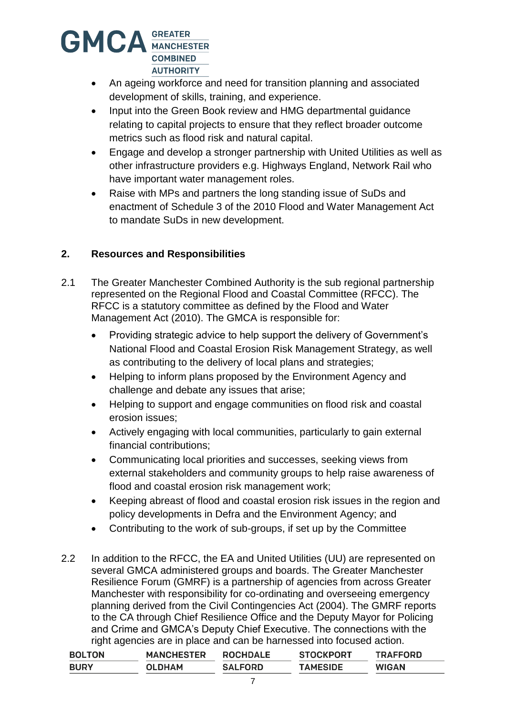

- An ageing workforce and need for transition planning and associated development of skills, training, and experience.
- Input into the Green Book review and HMG departmental guidance relating to capital projects to ensure that they reflect broader outcome metrics such as flood risk and natural capital.
- Engage and develop a stronger partnership with United Utilities as well as other infrastructure providers e.g. Highways England, Network Rail who have important water management roles.
- Raise with MPs and partners the long standing issue of SuDs and enactment of Schedule 3 of the 2010 Flood and Water Management Act to mandate SuDs in new development.

#### **2. Resources and Responsibilities**

- 2.1 The Greater Manchester Combined Authority is the sub regional partnership represented on the Regional Flood and Coastal Committee (RFCC). The RFCC is a statutory committee as defined by the Flood and Water Management Act (2010). The GMCA is responsible for:
	- Providing strategic advice to help support the delivery of Government's National Flood and Coastal Erosion Risk Management Strategy, as well as contributing to the delivery of local plans and strategies;
	- Helping to inform plans proposed by the Environment Agency and challenge and debate any issues that arise;
	- Helping to support and engage communities on flood risk and coastal erosion issues;
	- Actively engaging with local communities, particularly to gain external financial contributions;
	- Communicating local priorities and successes, seeking views from external stakeholders and community groups to help raise awareness of flood and coastal erosion risk management work;
	- Keeping abreast of flood and coastal erosion risk issues in the region and policy developments in Defra and the Environment Agency; and
	- Contributing to the work of sub-groups, if set up by the Committee
- 2.2 In addition to the RFCC, the EA and United Utilities (UU) are represented on several GMCA administered groups and boards. The Greater Manchester Resilience Forum (GMRF) is a partnership of agencies from across Greater Manchester with responsibility for co-ordinating and overseeing emergency planning derived from the Civil Contingencies Act (2004). The GMRF reports to the CA through Chief Resilience Office and the Deputy Mayor for Policing and Crime and GMCA's Deputy Chief Executive. The connections with the right agencies are in place and can be harnessed into focused action.

| <b>BOLTON</b> | <b>MANCHESTER</b> | <b>ROCHDALE</b> | <b>STOCKPORT</b> | <b>TRAFFORD</b> |
|---------------|-------------------|-----------------|------------------|-----------------|
| <b>BURY</b>   | <b>OLDHAM</b>     | <b>SALFORD</b>  | <b>TAMESIDE</b>  | <b>WIGAN</b>    |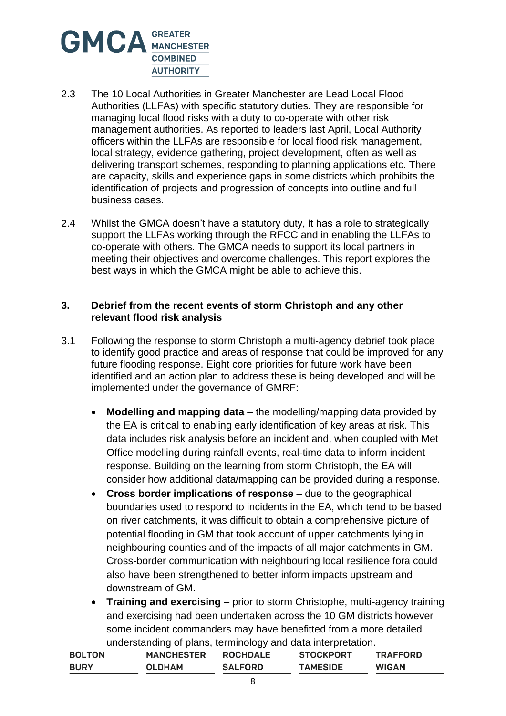

- 2.3 The 10 Local Authorities in Greater Manchester are Lead Local Flood Authorities (LLFAs) with specific statutory duties. They are responsible for managing local flood risks with a duty to co-operate with other risk management authorities. As reported to leaders last April, Local Authority officers within the LLFAs are responsible for local flood risk management, local strategy, evidence gathering, project development, often as well as delivering transport schemes, responding to planning applications etc. There are capacity, skills and experience gaps in some districts which prohibits the identification of projects and progression of concepts into outline and full business cases.
- 2.4 Whilst the GMCA doesn't have a statutory duty, it has a role to strategically support the LLFAs working through the RFCC and in enabling the LLFAs to co-operate with others. The GMCA needs to support its local partners in meeting their objectives and overcome challenges. This report explores the best ways in which the GMCA might be able to achieve this.

#### **3. Debrief from the recent events of storm Christoph and any other relevant flood risk analysis**

- 3.1 Following the response to storm Christoph a multi-agency debrief took place to identify good practice and areas of response that could be improved for any future flooding response. Eight core priorities for future work have been identified and an action plan to address these is being developed and will be implemented under the governance of GMRF:
	- **Modelling and mapping data**  the modelling/mapping data provided by the EA is critical to enabling early identification of key areas at risk. This data includes risk analysis before an incident and, when coupled with Met Office modelling during rainfall events, real-time data to inform incident response. Building on the learning from storm Christoph, the EA will consider how additional data/mapping can be provided during a response.
	- **Cross border implications of response**  due to the geographical boundaries used to respond to incidents in the EA, which tend to be based on river catchments, it was difficult to obtain a comprehensive picture of potential flooding in GM that took account of upper catchments lying in neighbouring counties and of the impacts of all major catchments in GM. Cross-border communication with neighbouring local resilience fora could also have been strengthened to better inform impacts upstream and downstream of GM.
	- **Training and exercising** prior to storm Christophe, multi-agency training and exercising had been undertaken across the 10 GM districts however some incident commanders may have benefitted from a more detailed understanding of plans, terminology and data interpretation.

| <b>BOLTON</b> | <b>MANCHESTER</b> | <b>ROCHDALE</b> | <b>STOCKPORT</b> | <b>TRAFFORD</b> |
|---------------|-------------------|-----------------|------------------|-----------------|
| <b>BURY</b>   | <b>OLDHAM</b>     | <b>SALFORD</b>  | <b>TAMESIDE</b>  | <b>WIGAN</b>    |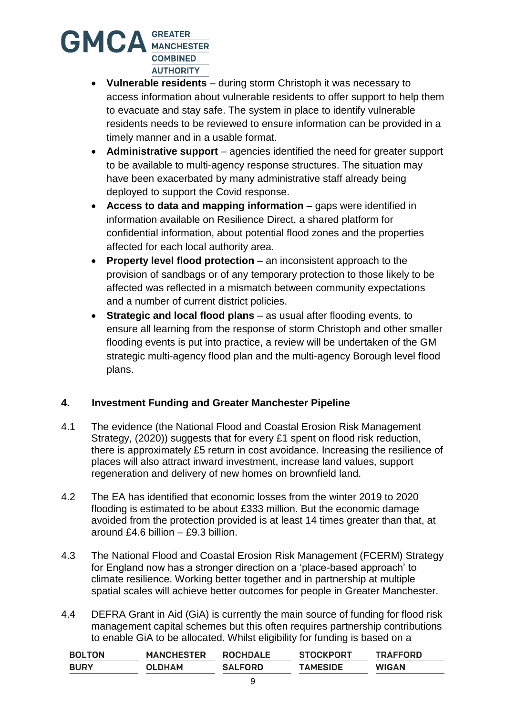

- **Vulnerable residents**  during storm Christoph it was necessary to access information about vulnerable residents to offer support to help them to evacuate and stay safe. The system in place to identify vulnerable residents needs to be reviewed to ensure information can be provided in a timely manner and in a usable format.
- **Administrative support**  agencies identified the need for greater support to be available to multi-agency response structures. The situation may have been exacerbated by many administrative staff already being deployed to support the Covid response.
- **Access to data and mapping information** gaps were identified in information available on Resilience Direct, a shared platform for confidential information, about potential flood zones and the properties affected for each local authority area.
- **Property level flood protection** an inconsistent approach to the provision of sandbags or of any temporary protection to those likely to be affected was reflected in a mismatch between community expectations and a number of current district policies.
- **Strategic and local flood plans** as usual after flooding events, to ensure all learning from the response of storm Christoph and other smaller flooding events is put into practice, a review will be undertaken of the GM strategic multi-agency flood plan and the multi-agency Borough level flood plans.

#### **4. Investment Funding and Greater Manchester Pipeline**

- 4.1 The evidence (the National Flood and Coastal Erosion Risk Management Strategy, (2020)) suggests that for every £1 spent on flood risk reduction, there is approximately £5 return in cost avoidance. Increasing the resilience of places will also attract inward investment, increase land values, support regeneration and delivery of new homes on brownfield land.
- 4.2 The EA has identified that economic losses from the winter 2019 to 2020 flooding is estimated to be about £333 million. But the economic damage avoided from the protection provided is at least 14 times greater than that, at around  $£4.6$  billion –  $£9.3$  billion.
- 4.3 The National Flood and Coastal Erosion Risk Management (FCERM) Strategy for England now has a stronger direction on a 'place-based approach' to climate resilience. Working better together and in partnership at multiple spatial scales will achieve better outcomes for people in Greater Manchester.
- 4.4 DEFRA Grant in Aid (GiA) is currently the main source of funding for flood risk management capital schemes but this often requires partnership contributions to enable GiA to be allocated. Whilst eligibility for funding is based on a

| <b>BOLTON</b> | <b>MANCHESTER</b> | <b>ROCHDALE</b> | <b>STOCKPORT</b> | <b>TRAFFORD</b> |
|---------------|-------------------|-----------------|------------------|-----------------|
| <b>BURY</b>   | <b>OLDHAM</b>     | <b>SALFORD</b>  | <b>TAMESIDE</b>  | <b>WIGAN</b>    |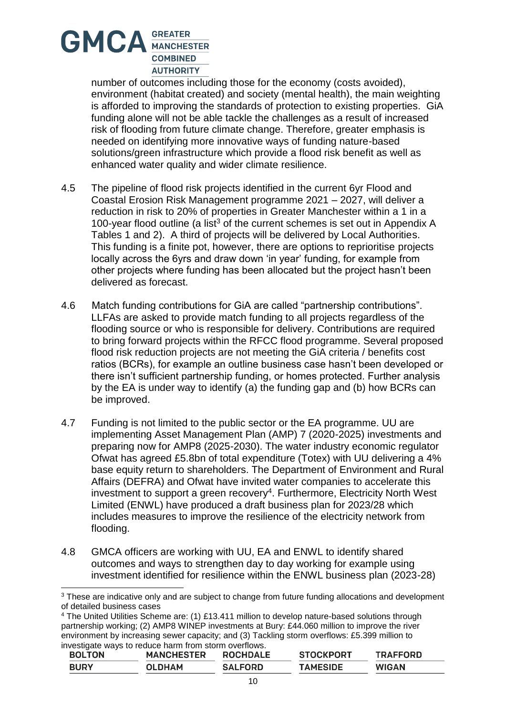

-

number of outcomes including those for the economy (costs avoided), environment (habitat created) and society (mental health), the main weighting is afforded to improving the standards of protection to existing properties. GiA funding alone will not be able tackle the challenges as a result of increased risk of flooding from future climate change. Therefore, greater emphasis is needed on identifying more innovative ways of funding nature-based solutions/green infrastructure which provide a flood risk benefit as well as enhanced water quality and wider climate resilience.

- 4.5 The pipeline of flood risk projects identified in the current 6yr Flood and Coastal Erosion Risk Management programme 2021 – 2027, will deliver a reduction in risk to 20% of properties in Greater Manchester within a 1 in a 100-year flood outline (a list<sup>3</sup> of the current schemes is set out in Appendix A Tables 1 and 2). A third of projects will be delivered by Local Authorities. This funding is a finite pot, however, there are options to reprioritise projects locally across the 6yrs and draw down 'in year' funding, for example from other projects where funding has been allocated but the project hasn't been delivered as forecast.
- 4.6 Match funding contributions for GiA are called "partnership contributions". LLFAs are asked to provide match funding to all projects regardless of the flooding source or who is responsible for delivery. Contributions are required to bring forward projects within the RFCC flood programme. Several proposed flood risk reduction projects are not meeting the GiA criteria / benefits cost ratios (BCRs), for example an outline business case hasn't been developed or there isn't sufficient partnership funding, or homes protected. Further analysis by the EA is under way to identify (a) the funding gap and (b) how BCRs can be improved.
- 4.7 Funding is not limited to the public sector or the EA programme. UU are implementing Asset Management Plan (AMP) 7 (2020-2025) investments and preparing now for AMP8 (2025-2030). The water industry economic regulator Ofwat has agreed £5.8bn of total expenditure (Totex) with UU delivering a 4% base equity return to shareholders. The Department of Environment and Rural Affairs (DEFRA) and Ofwat have invited water companies to accelerate this investment to support a green recovery<sup>4</sup>. Furthermore, Electricity North West Limited (ENWL) have produced a draft business plan for 2023/28 which includes measures to improve the resilience of the electricity network from flooding.
- 4.8 GMCA officers are working with UU, EA and ENWL to identify shared outcomes and ways to strengthen day to day working for example using investment identified for resilience within the ENWL business plan (2023-28)

<sup>4</sup> The United Utilities Scheme are: (1) £13.411 million to develop nature-based solutions through partnership working; (2) AMP8 WINEP investments at Bury: £44.060 million to improve the river environment by increasing sewer capacity; and (3) Tackling storm overflows: £5.399 million to investigate ways to reduce harm from storm overflows.

| <b>BOLTON</b> | <b>MANCHESTER</b> | <b>ROCHDALE</b> | <b>STOCKPORT</b> | <b>TRAFFORD</b> |
|---------------|-------------------|-----------------|------------------|-----------------|
| <b>BURY</b>   | <b>OLDHAM</b>     | <b>SALFORD</b>  | <b>TAMESIDE</b>  | <b>WIGAN</b>    |

<sup>&</sup>lt;sup>3</sup> These are indicative only and are subject to change from future funding allocations and development of detailed business cases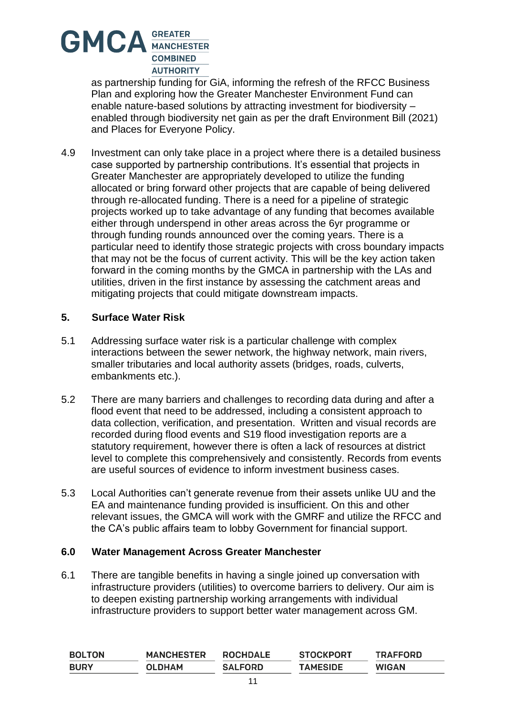

as partnership funding for GiA, informing the refresh of the RFCC Business Plan and exploring how the Greater Manchester Environment Fund can enable nature-based solutions by attracting investment for biodiversity – enabled through biodiversity net gain as per the draft Environment Bill (2021) and Places for Everyone Policy.

4.9 Investment can only take place in a project where there is a detailed business case supported by partnership contributions. It's essential that projects in Greater Manchester are appropriately developed to utilize the funding allocated or bring forward other projects that are capable of being delivered through re-allocated funding. There is a need for a pipeline of strategic projects worked up to take advantage of any funding that becomes available either through underspend in other areas across the 6yr programme or through funding rounds announced over the coming years. There is a particular need to identify those strategic projects with cross boundary impacts that may not be the focus of current activity. This will be the key action taken forward in the coming months by the GMCA in partnership with the LAs and utilities, driven in the first instance by assessing the catchment areas and mitigating projects that could mitigate downstream impacts.

#### **5. Surface Water Risk**

- 5.1 Addressing surface water risk is a particular challenge with complex interactions between the sewer network, the highway network, main rivers, smaller tributaries and local authority assets (bridges, roads, culverts, embankments etc.).
- 5.2 There are many barriers and challenges to recording data during and after a flood event that need to be addressed, including a consistent approach to data collection, verification, and presentation. Written and visual records are recorded during flood events and S19 flood investigation reports are a statutory requirement, however there is often a lack of resources at district level to complete this comprehensively and consistently. Records from events are useful sources of evidence to inform investment business cases.
- 5.3 Local Authorities can't generate revenue from their assets unlike UU and the EA and maintenance funding provided is insufficient. On this and other relevant issues, the GMCA will work with the GMRF and utilize the RFCC and the CA's public affairs team to lobby Government for financial support.

#### **6.0 Water Management Across Greater Manchester**

6.1 There are tangible benefits in having a single joined up conversation with infrastructure providers (utilities) to overcome barriers to delivery. Our aim is to deepen existing partnership working arrangements with individual infrastructure providers to support better water management across GM.

| <b>BOLTON</b> | <b>MANCHESTER</b> | <b>ROCHDALE</b> | <b>STOCKPORT</b> | <b>TRAFFORD</b> |
|---------------|-------------------|-----------------|------------------|-----------------|
| <b>BURY</b>   | <b>OLDHAM</b>     | <b>SALFORD</b>  | <b>TAMESIDE</b>  | <b>WIGAN</b>    |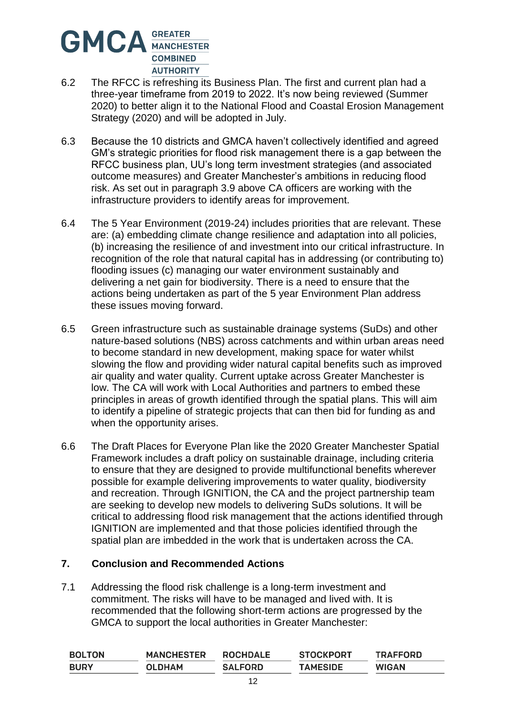

- 6.2 The RFCC is refreshing its Business Plan. The first and current plan had a three-year timeframe from 2019 to 2022. It's now being reviewed (Summer 2020) to better align it to the National Flood and Coastal Erosion Management Strategy (2020) and will be adopted in July.
- 6.3 Because the 10 districts and GMCA haven't collectively identified and agreed GM's strategic priorities for flood risk management there is a gap between the RFCC business plan, UU's long term investment strategies (and associated outcome measures) and Greater Manchester's ambitions in reducing flood risk. As set out in paragraph 3.9 above CA officers are working with the infrastructure providers to identify areas for improvement.
- 6.4 The 5 Year Environment (2019-24) includes priorities that are relevant. These are: (a) embedding climate change resilience and adaptation into all policies, (b) increasing the resilience of and investment into our critical infrastructure. In recognition of the role that natural capital has in addressing (or contributing to) flooding issues (c) managing our water environment sustainably and delivering a net gain for biodiversity. There is a need to ensure that the actions being undertaken as part of the 5 year Environment Plan address these issues moving forward.
- 6.5 Green infrastructure such as sustainable drainage systems (SuDs) and other nature-based solutions (NBS) across catchments and within urban areas need to become standard in new development, making space for water whilst slowing the flow and providing wider natural capital benefits such as improved air quality and water quality. Current uptake across Greater Manchester is low. The CA will work with Local Authorities and partners to embed these principles in areas of growth identified through the spatial plans. This will aim to identify a pipeline of strategic projects that can then bid for funding as and when the opportunity arises.
- 6.6 The Draft Places for Everyone Plan like the 2020 Greater Manchester Spatial Framework includes a draft policy on sustainable drainage, including criteria to ensure that they are designed to provide multifunctional benefits wherever possible for example delivering improvements to water quality, biodiversity and recreation. Through IGNITION, the CA and the project partnership team are seeking to develop new models to delivering SuDs solutions. It will be critical to addressing flood risk management that the actions identified through IGNITION are implemented and that those policies identified through the spatial plan are imbedded in the work that is undertaken across the CA.

#### **7. Conclusion and Recommended Actions**

7.1 Addressing the flood risk challenge is a long-term investment and commitment. The risks will have to be managed and lived with. It is recommended that the following short-term actions are progressed by the GMCA to support the local authorities in Greater Manchester:

| <b>BOLTON</b> | <b>MANCHESTER</b> | <b>ROCHDALE</b> | <b>STOCKPORT</b> | <b>TRAFFORD</b> |
|---------------|-------------------|-----------------|------------------|-----------------|
| <b>BURY</b>   | <b>OLDHAM</b>     | <b>SALFORD</b>  | <b>TAMESIDE</b>  | <b>WIGAN</b>    |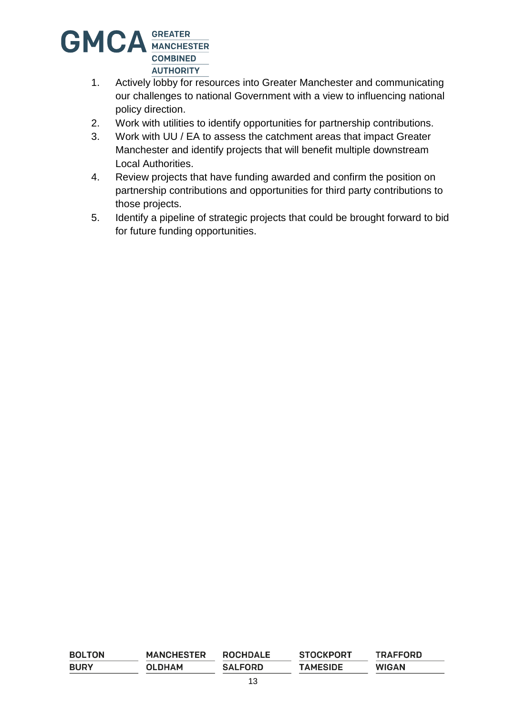

- 1. Actively lobby for resources into Greater Manchester and communicating our challenges to national Government with a view to influencing national policy direction.
- 2. Work with utilities to identify opportunities for partnership contributions.
- 3. Work with UU / EA to assess the catchment areas that impact Greater Manchester and identify projects that will benefit multiple downstream Local Authorities.
- 4. Review projects that have funding awarded and confirm the position on partnership contributions and opportunities for third party contributions to those projects.
- 5. Identify a pipeline of strategic projects that could be brought forward to bid for future funding opportunities.

| <b>BOLTON</b> | <b>MANCHESTER</b> | <b>ROCHDALE</b> | <b>STOCKPORT</b> | <b>TRAFFORD</b> |
|---------------|-------------------|-----------------|------------------|-----------------|
| <b>BURY</b>   | <b>OLDHAM</b>     | <b>SALFORD</b>  | <b>TAMESIDE</b>  | <b>WIGAN</b>    |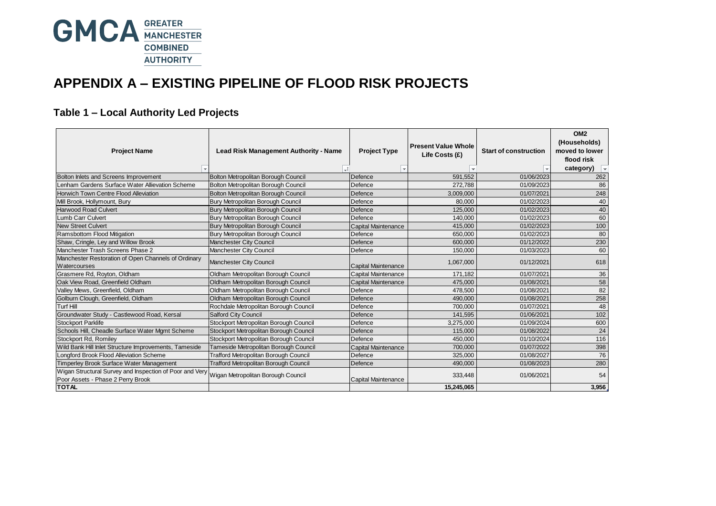

## **APPENDIX A – EXISTING PIPELINE OF FLOOD RISK PROJECTS**

#### **Table 1 – Local Authority Led Projects**

| <b>Project Name</b>                                                                          | <b>Lead Risk Management Authority - Name</b> | <b>Project Type</b>        | <b>Present Value Whole</b><br>Life Costs (£) | <b>Start of construction</b> | OM <sub>2</sub><br>(Households)<br>moved to lower<br>flood risk<br>category) $\overline{\phantom{a}}$ |
|----------------------------------------------------------------------------------------------|----------------------------------------------|----------------------------|----------------------------------------------|------------------------------|-------------------------------------------------------------------------------------------------------|
| Bolton Inlets and Screens Improvement                                                        | Bolton Metropolitan Borough Council          | Defence                    | 591,552                                      | 01/06/2023                   | 262                                                                                                   |
| Lenham Gardens Surface Water Allievation Scheme                                              | Bolton Metropolitan Borough Council          | Defence                    | 272.788                                      | 01/09/2023                   | 86                                                                                                    |
| Horwich Town Centre Flood Alleviation                                                        | Bolton Metropolitan Borough Council          | Defence                    | 3,009,000                                    | 01/07/2021                   | 248                                                                                                   |
| Mill Brook, Hollymount, Bury                                                                 | Bury Metropolitan Borough Council            | Defence                    | 80,000                                       | 01/02/2023                   | 40                                                                                                    |
| <b>Harwood Road Culvert</b>                                                                  | Bury Metropolitan Borough Council            | Defence                    | 125,000                                      | 01/02/2023                   | 40                                                                                                    |
| <b>Lumb Carr Culvert</b>                                                                     | Bury Metropolitan Borough Council            | Defence                    | 140,000                                      | 01/02/2023                   | 60                                                                                                    |
| <b>New Street Culvert</b>                                                                    | Bury Metropolitan Borough Council            | <b>Capital Maintenance</b> | 415,000                                      | 01/02/2023                   | 100                                                                                                   |
| Ramsbottom Flood Mitigation                                                                  | Bury Metropolitan Borough Council            | Defence                    | 650,000                                      | 01/02/2023                   | 80                                                                                                    |
| Shaw, Cringle, Ley and Willow Brook                                                          | <b>Manchester City Council</b>               | Defence                    | 600,000                                      | 01/12/2022                   | 230                                                                                                   |
| Manchester Trash Screens Phase 2                                                             | <b>Manchester City Council</b>               | Defence                    | 150,000                                      | 01/03/2023                   | 60                                                                                                    |
| Manchester Restoration of Open Channels of Ordinary<br>Watercourses                          | <b>Manchester City Council</b>               | Capital Maintenance        | 1,067,000                                    | 01/12/2021                   | 618                                                                                                   |
| Grasmere Rd, Royton, Oldham                                                                  | Oldham Metropolitan Borough Council          | Capital Maintenance        | 171,182                                      | 01/07/2021                   | 36                                                                                                    |
| Oak View Road, Greenfield Oldham                                                             | Oldham Metropolitan Borough Council          | <b>Capital Maintenance</b> | 475,000                                      | 01/08/2021                   | 58                                                                                                    |
| Valley Mews, Greenfield, Oldham                                                              | Oldham Metropolitan Borough Council          | Defence                    | 478,500                                      | 01/08/2021                   | 82                                                                                                    |
| Golburn Clough, Greenfield, Oldham                                                           | Oldham Metropolitan Borough Council          | Defence                    | 490.000                                      | 01/08/2021                   | 258                                                                                                   |
| <b>Turf Hill</b>                                                                             | Rochdale Metropolitan Borough Council        | Defence                    | 700,000                                      | 01/07/2021                   | 48                                                                                                    |
| Groundwater Study - Castlewood Road, Kersal                                                  | <b>Salford City Council</b>                  | Defence                    | 141,595                                      | 01/06/2021                   | 102                                                                                                   |
| <b>Stockport Parklife</b>                                                                    | Stockport Metropolitan Borough Council       | Defence                    | 3,275,000                                    | 01/09/2024                   | 600                                                                                                   |
| Schools Hill, Cheadle Surface Water Mgmt Scheme                                              | Stockport Metropolitan Borough Council       | Defence                    | 115,000                                      | 01/08/2022                   | 24                                                                                                    |
| Stockport Rd, Romiley                                                                        | Stockport Metropolitan Borough Council       | Defence                    | 450,000                                      | 01/10/2024                   | 116                                                                                                   |
| Wild Bank Hill Inlet Structure Improvements, Tameside                                        | Tameside Metropolitan Borough Council        | <b>Capital Maintenance</b> | 700,000                                      | 01/07/2022                   | 398                                                                                                   |
| Longford Brook Flood Alleviation Scheme                                                      | <b>Trafford Metropolitan Borough Council</b> | Defence                    | 325,000                                      | 01/08/2027                   | 76                                                                                                    |
| Timperley Brook Surface Water Management                                                     | Trafford Metropolitan Borough Council        | Defence                    | 490,000                                      | 01/08/2023                   | 280                                                                                                   |
| Wigan Structural Survey and Inspection of Poor and Very<br>Poor Assets - Phase 2 Perry Brook | Wigan Metropolitan Borough Council           | Capital Maintenance        | 333,448                                      | 01/06/2021                   | 54                                                                                                    |
| <b>TOTAL</b>                                                                                 |                                              |                            | 15,245,065                                   |                              | 3,956                                                                                                 |